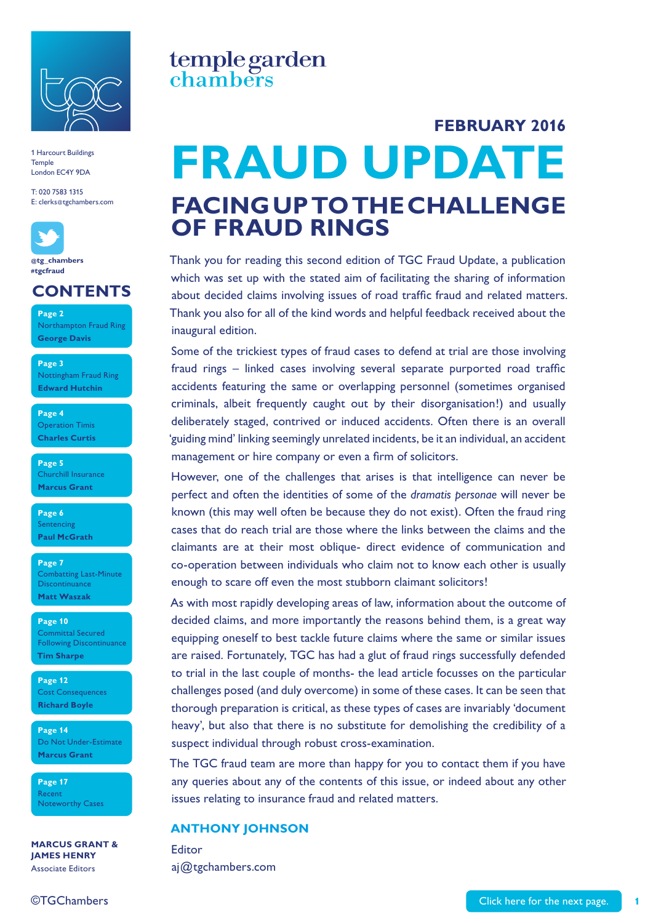

T: 020 7583 1315 E: clerks@tgchambers.com



**@[tg\\_cham](https://twitter.com/tg_chambers)bers #tgcfraud**

#### **CONTENTS**

**Page 2** Northampton Fraud Ring **George Davis** 

**Page 3**  Nottingham Fraud Ring **Edward Hutchin**

**Page 4**  Operation Timis **Charles Curtis** 

**Page 5**  Churchill Insurance **Marcus Grant** 

**Page 6**  Sentencing **Paul McGrath** 

**Page 7**  Combatting Last-Minute **Discontinuance Matt Waszak** 

**Page 10**  Committal Secured Following Discontinuance **Tim Sharpe** 

**Page 12**  Cost Consequences **Richard Boyle** 

**Page 14**  Do Not Under-Estimate **Marcus Grant** 

**Page 17**  Recent Noteworthy Cases

**MARCUS GRANT & JAMES HENRY**  Associate Editors

#### ©TGChambers

### temple garden chambers

## **FRAUD UPDATE FACING UP TO THE CHALLENGE OF FRAUD RINGS FEBRUARY 2016**

Thank you for reading this second edition of TGC Fraud Update, a publication which was set up with the stated aim of facilitating the sharing of information about decided claims involving issues of road traffic fraud and related matters. Thank you also for all of the kind words and helpful feedback received about the inaugural edition.

Some of the trickiest types of fraud cases to defend at trial are those involving fraud rings – linked cases involving several separate purported road traffic accidents featuring the same or overlapping personnel (sometimes organised criminals, albeit frequently caught out by their disorganisation!) and usually deliberately staged, contrived or induced accidents. Often there is an overall 'guiding mind' linking seemingly unrelated incidents, be it an individual, an accident management or hire company or even a firm of solicitors.

However, one of the challenges that arises is that intelligence can never be perfect and often the identities of some of the *dramatis personae* will never be known (this may well often be because they do not exist). Often the fraud ring cases that do reach trial are those where the links between the claims and the claimants are at their most oblique- direct evidence of communication and co-operation between individuals who claim not to know each other is usually enough to scare off even the most stubborn claimant solicitors!

As with most rapidly developing areas of law, information about the outcome of decided claims, and more importantly the reasons behind them, is a great way equipping oneself to best tackle future claims where the same or similar issues are raised. Fortunately, TGC has had a glut of fraud rings successfully defended to trial in the last couple of months- the lead article focusses on the particular challenges posed (and duly overcome) in some of these cases. It can be seen that thorough preparation is critical, as these types of cases are invariably 'document heavy', but also that there is no substitute for demolishing the credibility of a suspect individual through robust cross-examination.

The TGC fraud team are more than happy for you to contact them if you have any queries about any of the contents of this issue, or indeed about any other issues relating to insurance fraud and related matters.

#### **ANTHONY JOHNSON**

Editor aj@tgchambers.com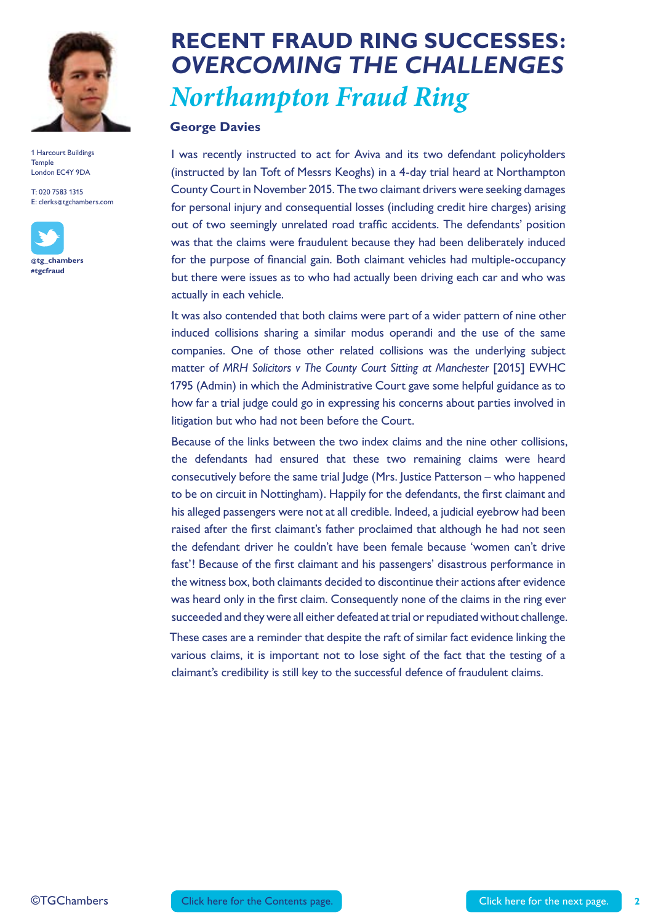

T: 020 7583 1315 E: clerks@tgchambers.com



## **RECENT FRAUD RING SUCCESSES:** *OVERCOMING THE CHALLENGES Northampton Fraud Ring*

#### **George Davies**

I was recently instructed to act for Aviva and its two defendant policyholders (instructed by Ian Toft of Messrs Keoghs) in a 4-day trial heard at Northampton County Court in November 2015. The two claimant drivers were seeking damages for personal injury and consequential losses (including credit hire charges) arising out of two seemingly unrelated road traffic accidents. The defendants' position was that the claims were fraudulent because they had been deliberately induced for the purpose of financial gain. Both claimant vehicles had multiple-occupancy but there were issues as to who had actually been driving each car and who was actually in each vehicle.

It was also contended that both claims were part of a wider pattern of nine other induced collisions sharing a similar modus operandi and the use of the same companies. One of those other related collisions was the underlying subject matter of *MRH Solicitors v The County Court Sitting at Manchester* [2015] EWHC 1795 (Admin) in which the Administrative Court gave some helpful guidance as to how far a trial judge could go in expressing his concerns about parties involved in litigation but who had not been before the Court.

Because of the links between the two index claims and the nine other collisions, the defendants had ensured that these two remaining claims were heard consecutively before the same trial Judge (Mrs. Justice Patterson – who happened to be on circuit in Nottingham). Happily for the defendants, the first claimant and his alleged passengers were not at all credible. Indeed, a judicial eyebrow had been raised after the first claimant's father proclaimed that although he had not seen the defendant driver he couldn't have been female because 'women can't drive fast'! Because of the first claimant and his passengers' disastrous performance in the witness box, both claimants decided to discontinue their actions after evidence was heard only in the first claim. Consequently none of the claims in the ring ever succeeded and they were all either defeated at trial or repudiated without challenge.

These cases are a reminder that despite the raft of similar fact evidence linking the various claims, it is important not to lose sight of the fact that the testing of a claimant's credibility is still key to the successful defence of fraudulent claims.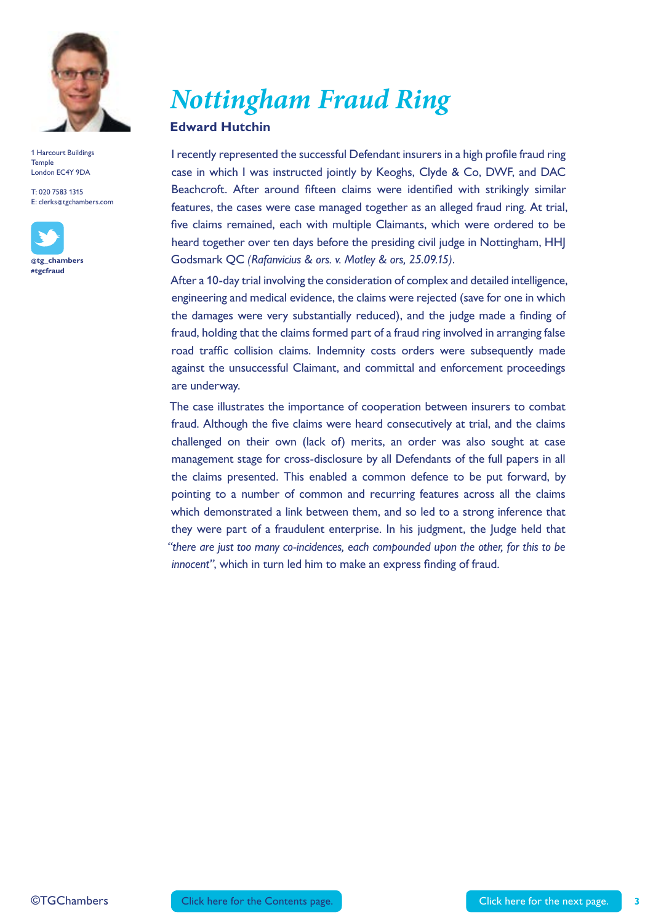

T: 020 7583 1315 E: clerks@tgchambers.com



*Nottingham Fraud Ring* 

#### **Edward Hutchin**

I recently represented the successful Defendant insurers in a high profile fraud ring case in which I was instructed jointly by Keoghs, Clyde & Co, DWF, and DAC Beachcroft. After around fifteen claims were identified with strikingly similar features, the cases were case managed together as an alleged fraud ring. At trial, five claims remained, each with multiple Claimants, which were ordered to be heard together over ten days before the presiding civil judge in Nottingham, HHJ Godsmark QC *(Rafanvicius & ors. v. Motley & ors, 25.09.15)*.

After a 10-day trial involving the consideration of complex and detailed intelligence, engineering and medical evidence, the claims were rejected (save for one in which the damages were very substantially reduced), and the judge made a finding of fraud, holding that the claims formed part of a fraud ring involved in arranging false road traffic collision claims. Indemnity costs orders were subsequently made against the unsuccessful Claimant, and committal and enforcement proceedings are underway.

The case illustrates the importance of cooperation between insurers to combat fraud. Although the five claims were heard consecutively at trial, and the claims challenged on their own (lack of) merits, an order was also sought at case management stage for cross-disclosure by all Defendants of the full papers in all the claims presented. This enabled a common defence to be put forward, by pointing to a number of common and recurring features across all the claims which demonstrated a link between them, and so led to a strong inference that they were part of a fraudulent enterprise. In his judgment, the Judge held that *"there are just too many co-incidences, each compounded upon the other, for this to be innocent"*, which in turn led him to make an express finding of fraud.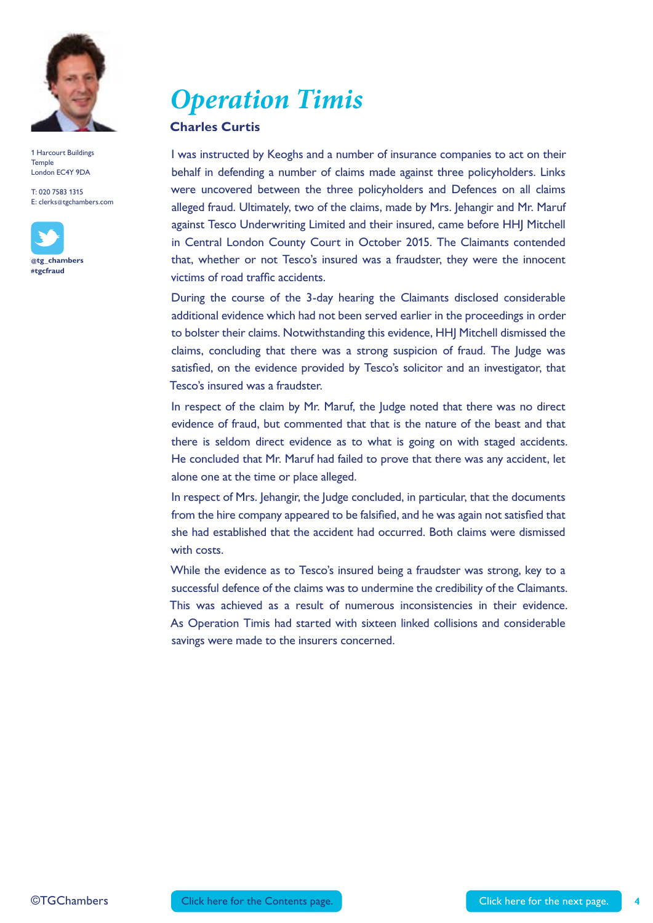

T: 020 7583 1315 E: clerks@tgchambers.com



*Operation Timis* 

#### **Charles Curtis**

I was instructed by Keoghs and a number of insurance companies to act on their behalf in defending a number of claims made against three policyholders. Links were uncovered between the three policyholders and Defences on all claims alleged fraud. Ultimately, two of the claims, made by Mrs. Jehangir and Mr. Maruf against Tesco Underwriting Limited and their insured, came before HHJ Mitchell in Central London County Court in October 2015. The Claimants contended that, whether or not Tesco's insured was a fraudster, they were the innocent victims of road traffic accidents.

During the course of the 3-day hearing the Claimants disclosed considerable additional evidence which had not been served earlier in the proceedings in order to bolster their claims. Notwithstanding this evidence, HHJ Mitchell dismissed the claims, concluding that there was a strong suspicion of fraud. The Judge was satisfied, on the evidence provided by Tesco's solicitor and an investigator, that Tesco's insured was a fraudster.

In respect of the claim by Mr. Maruf, the Judge noted that there was no direct evidence of fraud, but commented that that is the nature of the beast and that there is seldom direct evidence as to what is going on with staged accidents. He concluded that Mr. Maruf had failed to prove that there was any accident, let alone one at the time or place alleged.

In respect of Mrs. Jehangir, the Judge concluded, in particular, that the documents from the hire company appeared to be falsified, and he was again not satisfied that she had established that the accident had occurred. Both claims were dismissed with costs.

While the evidence as to Tesco's insured being a fraudster was strong, key to a successful defence of the claims was to undermine the credibility of the Claimants. This was achieved as a result of numerous inconsistencies in their evidence. As Operation Timis had started with sixteen linked collisions and considerable savings were made to the insurers concerned.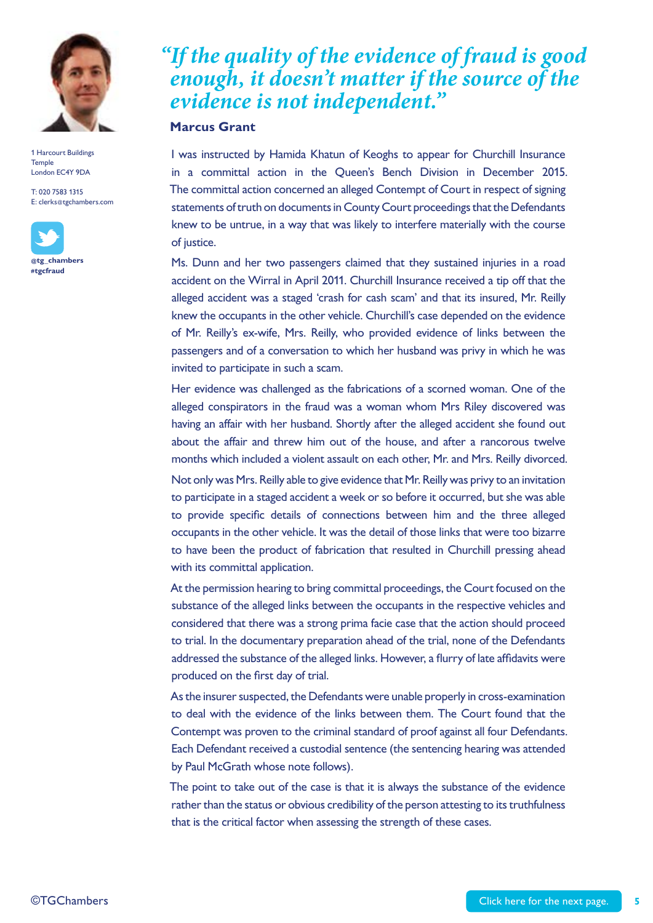

T: 020 7583 1315 E: clerks@tgchambers.com



*"If the quality of the evidence of fraud is good enough, it doesn't matter if the source of the evidence is not independent."*

#### **Marcus Grant**

I was instructed by Hamida Khatun of Keoghs to appear for Churchill Insurance in a committal action in the Queen's Bench Division in December 2015. The committal action concerned an alleged Contempt of Court in respect of signing statements of truth on documents in County Court proceedings that the Defendants knew to be untrue, in a way that was likely to interfere materially with the course of justice.

Ms. Dunn and her two passengers claimed that they sustained injuries in a road accident on the Wirral in April 2011. Churchill Insurance received a tip off that the alleged accident was a staged 'crash for cash scam' and that its insured, Mr. Reilly knew the occupants in the other vehicle. Churchill's case depended on the evidence of Mr. Reilly's ex-wife, Mrs. Reilly, who provided evidence of links between the passengers and of a conversation to which her husband was privy in which he was invited to participate in such a scam.

Her evidence was challenged as the fabrications of a scorned woman. One of the alleged conspirators in the fraud was a woman whom Mrs Riley discovered was having an affair with her husband. Shortly after the alleged accident she found out about the affair and threw him out of the house, and after a rancorous twelve months which included a violent assault on each other, Mr. and Mrs. Reilly divorced.

Not only was Mrs. Reilly able to give evidence that Mr. Reilly was privy to an invitation to participate in a staged accident a week or so before it occurred, but she was able to provide specific details of connections between him and the three alleged occupants in the other vehicle. It was the detail of those links that were too bizarre to have been the product of fabrication that resulted in Churchill pressing ahead with its committal application.

At the permission hearing to bring committal proceedings, the Court focused on the substance of the alleged links between the occupants in the respective vehicles and considered that there was a strong prima facie case that the action should proceed to trial. In the documentary preparation ahead of the trial, none of the Defendants addressed the substance of the alleged links. However, a flurry of late affidavits were produced on the first day of trial.

As the insurer suspected, the Defendants were unable properly in cross-examination to deal with the evidence of the links between them. The Court found that the Contempt was proven to the criminal standard of proof against all four Defendants. Each Defendant received a custodial sentence (the sentencing hearing was attended by Paul McGrath whose note follows).

The point to take out of the case is that it is always the substance of the evidence rather than the status or obvious credibility of the person attesting to its truthfulness that is the critical factor when assessing the strength of these cases.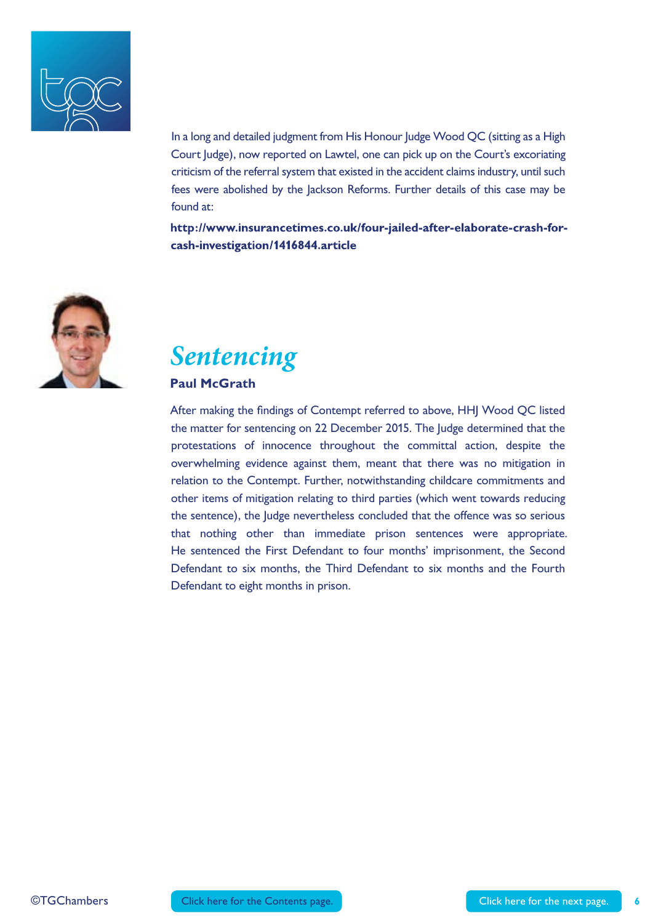

In a long and detailed judgment from His Honour Judge Wood QC (sitting as a High Court Judge), now reported on Lawtel, one can pick up on the Court's excoriating criticism of the referral system that existed in the accident claims industry, until such fees were abolished by the Jackson Reforms. Further details of this case may be found at:

http://www.insurancetimes.co.uk/four-jailed-after-elaborate-crash-forcash-investigation/1416844.article



## *Sentencing*

#### **Paul McGrath**

After making the findings of Contempt referred to above, HHJ Wood QC listed the matter for sentencing on 22 December 2015. The Judge determined that the protestations of innocence throughout the committal action, despite the overwhelming evidence against them, meant that there was no mitigation in relation to the Contempt. Further, notwithstanding childcare commitments and other items of mitigation relating to third parties (which went towards reducing the sentence), the Judge nevertheless concluded that the offence was so serious that nothing other than immediate prison sentences were appropriate. He sentenced the First Defendant to four months' imprisonment, the Second Defendant to six months, the Third Defendant to six months and the Fourth Defendant to eight months in prison.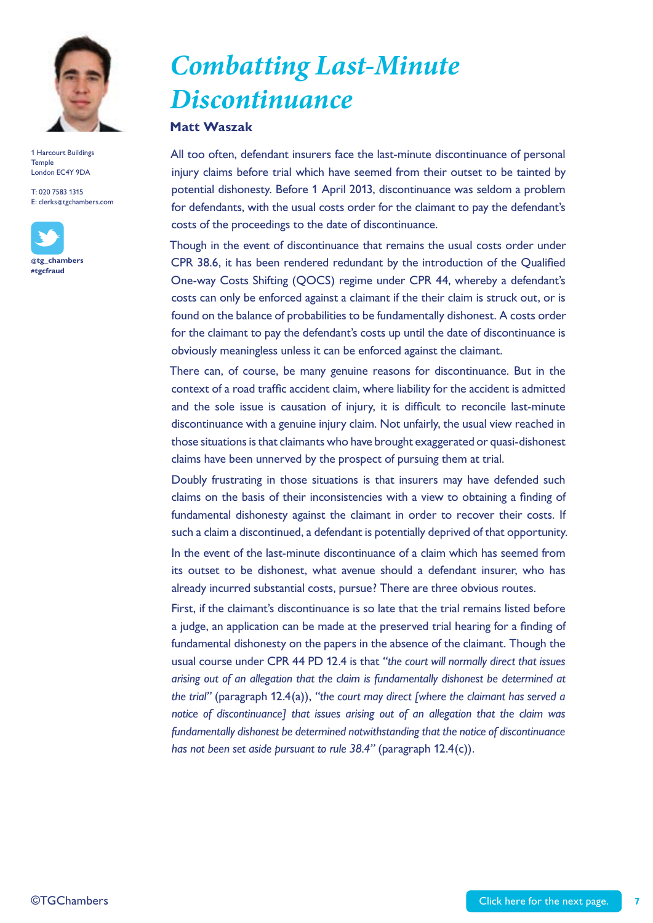

T: 020 7583 1315 E: clerks@tgchambers.com



## *Combatting Last-Minute Discontinuance*

#### **Matt Waszak**

All too often, defendant insurers face the last-minute discontinuance of personal injury claims before trial which have seemed from their outset to be tainted by potential dishonesty. Before 1 April 2013, discontinuance was seldom a problem for defendants, with the usual costs order for the claimant to pay the defendant's costs of the proceedings to the date of discontinuance.

Though in the event of discontinuance that remains the usual costs order under CPR 38.6, it has been rendered redundant by the introduction of the Qualified One-way Costs Shifting (QOCS) regime under CPR 44, whereby a defendant's costs can only be enforced against a claimant if the their claim is struck out, or is found on the balance of probabilities to be fundamentally dishonest. A costs order for the claimant to pay the defendant's costs up until the date of discontinuance is obviously meaningless unless it can be enforced against the claimant.

There can, of course, be many genuine reasons for discontinuance. But in the context of a road traffic accident claim, where liability for the accident is admitted and the sole issue is causation of injury, it is difficult to reconcile last-minute discontinuance with a genuine injury claim. Not unfairly, the usual view reached in those situations is that claimants who have brought exaggerated or quasi-dishonest claims have been unnerved by the prospect of pursuing them at trial.

Doubly frustrating in those situations is that insurers may have defended such claims on the basis of their inconsistencies with a view to obtaining a finding of fundamental dishonesty against the claimant in order to recover their costs. If such a claim a discontinued, a defendant is potentially deprived of that opportunity. In the event of the last-minute discontinuance of a claim which has seemed from its outset to be dishonest, what avenue should a defendant insurer, who has already incurred substantial costs, pursue? There are three obvious routes.

First, if the claimant's discontinuance is so late that the trial remains listed before a judge, an application can be made at the preserved trial hearing for a finding of fundamental dishonesty on the papers in the absence of the claimant. Though the usual course under CPR 44 PD 12.4 is that *"the court will normally direct that issues arising out of an allegation that the claim is fundamentally dishonest be determined at the trial"* (paragraph 12.4(a)), *"the court may direct [where the claimant has served a notice of discontinuance] that issues arising out of an allegation that the claim was fundamentally dishonest be determined notwithstanding that the notice of discontinuance has not been set aside pursuant to rule 38.4"* (paragraph 12.4(c)).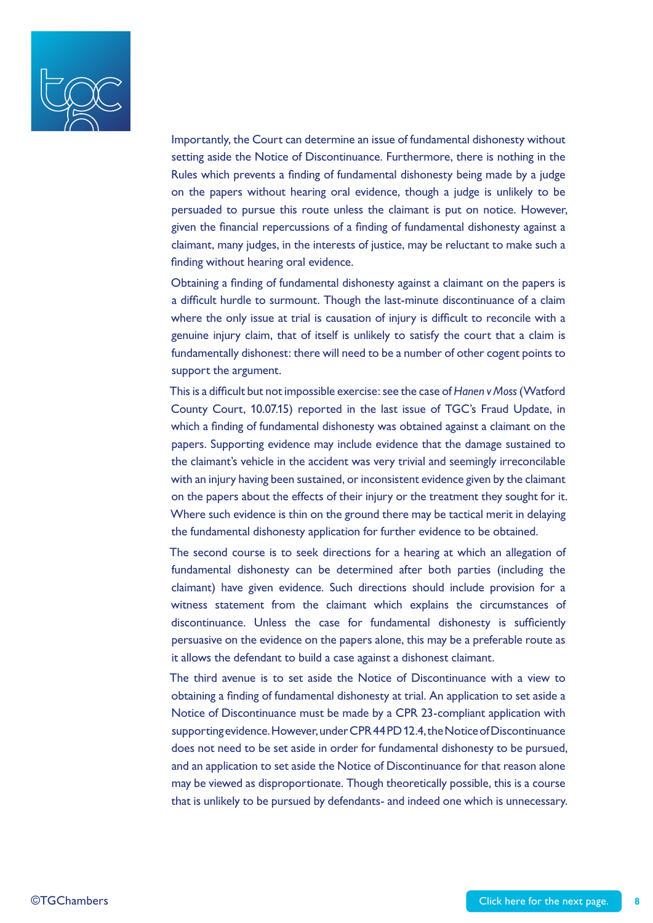

Importantly, the Court can determine an issue of fundamental dishonesty without setting aside the Notice of Discontinuance. Furthermore, there is nothing in the Rules which prevents a finding of fundamental dishonesty being made by a judge on the papers without hearing oral evidence, though a judge is unlikely to be persuaded to pursue this route unless the claimant is put on notice. However, given the financial repercussions of a finding of fundamental dishonesty against a claimant, many judges, in the interests of justice, may be reluctant to make such a finding without hearing oral evidence.

Obtaining a finding of fundamental dishonesty against a claimant on the papers is a difficult hurdle to surmount. Though the last-minute discontinuance of a claim where the only issue at trial is causation of injury is difficult to reconcile with a genuine injury claim, that of itself is unlikely to satisfy the court that a claim is fundamentally dishonest: there will need to be a number of other cogent points to support the argument.

This is a difficult but not impossible exercise: see the case of *Hanen v Moss* (Watford County Court, 10.07.15) reported in the last issue of TGC's Fraud Update, in which a finding of fundamental dishonesty was obtained against a claimant on the papers. Supporting evidence may include evidence that the damage sustained to the claimant's vehicle in the accident was very trivial and seemingly irreconcilable with an injury having been sustained, or inconsistent evidence given by the claimant on the papers about the effects of their injury or the treatment they sought for it. Where such evidence is thin on the ground there may be tactical merit in delaying the fundamental dishonesty application for further evidence to be obtained.

The second course is to seek directions for a hearing at which an allegation of fundamental dishonesty can be determined after both parties (including the claimant) have given evidence. Such directions should include provision for a witness statement from the claimant which explains the circumstances of discontinuance. Unless the case for fundamental dishonesty is sufficiently persuasive on the evidence on the papers alone, this may be a preferable route as it allows the defendant to build a case against a dishonest claimant.

The third avenue is to set aside the Notice of Discontinuance with a view to obtaining a finding of fundamental dishonesty at trial. An application to set aside a Notice of Discontinuance must be made by a CPR 23-compliant application with supporting evidence. However, under CPR 44 PD 12.4, the Notice of Discontinuance does not need to be set aside in order for fundamental dishonesty to be pursued, and an application to set aside the Notice of Discontinuance for that reason alone may be viewed as disproportionate. Though theoretically possible, this is a course that is unlikely to be pursued by defendants- and indeed one which is unnecessary.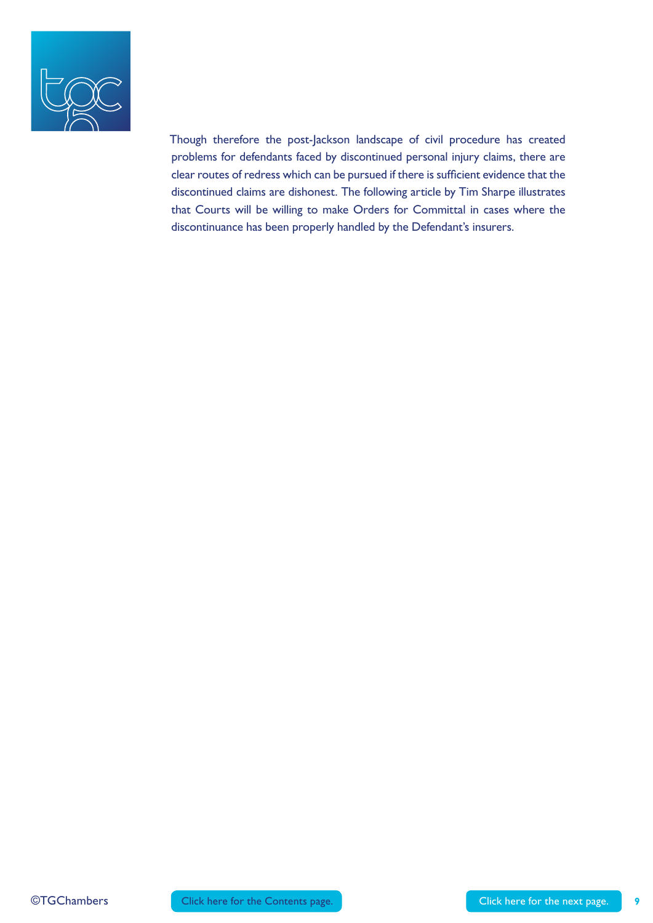

Though therefore the post-Jackson landscape of civil procedure has created problems for defendants faced by discontinued personal injury claims, there are clear routes of redress which can be pursued if there is sufficient evidence that the discontinued claims are dishonest. The following article by Tim Sharpe illustrates that Courts will be willing to make Orders for Committal in cases where the discontinuance has been properly handled by the Defendant's insurers.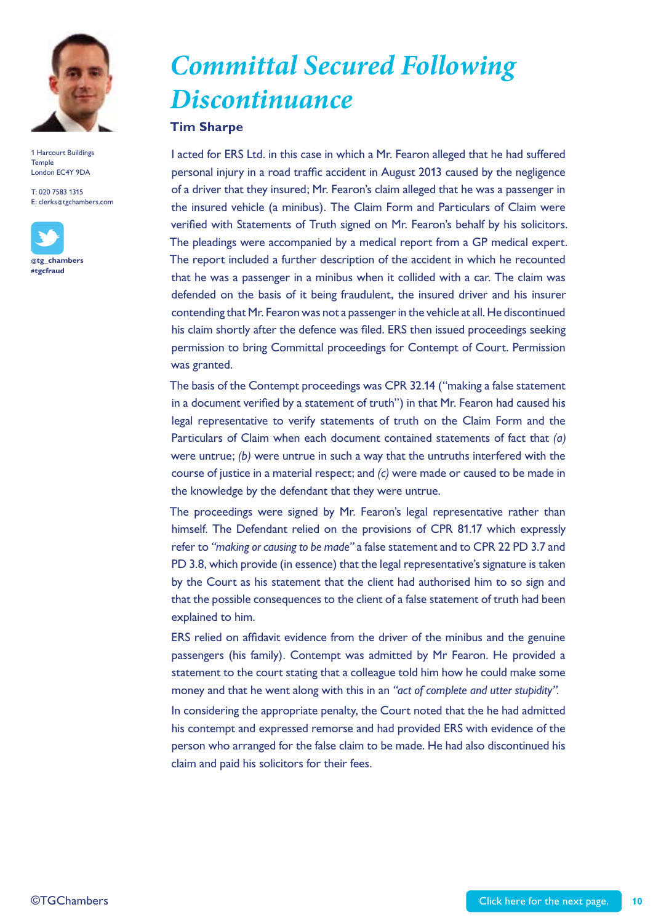

T: 020 7583 1315 E: clerks@tgchambers.com



*Committal Secured Following Discontinuance* 

#### **Tim Sharpe**

I acted for ERS Ltd. in this case in which a Mr. Fearon alleged that he had suffered personal injury in a road traffic accident in August 2013 caused by the negligence of a driver that they insured; Mr. Fearon's claim alleged that he was a passenger in the insured vehicle (a minibus). The Claim Form and Particulars of Claim were verified with Statements of Truth signed on Mr. Fearon's behalf by his solicitors. The pleadings were accompanied by a medical report from a GP medical expert. The report included a further description of the accident in which he recounted that he was a passenger in a minibus when it collided with a car. The claim was defended on the basis of it being fraudulent, the insured driver and his insurer contending that Mr. Fearon was not a passenger in the vehicle at all. He discontinued his claim shortly after the defence was filed. ERS then issued proceedings seeking permission to bring Committal proceedings for Contempt of Court. Permission was granted.

The basis of the Contempt proceedings was CPR 32.14 ("making a false statement in a document verified by a statement of truth") in that Mr. Fearon had caused his legal representative to verify statements of truth on the Claim Form and the Particulars of Claim when each document contained statements of fact that *(a)* were untrue; *(b)* were untrue in such a way that the untruths interfered with the course of justice in a material respect; and *(c)* were made or caused to be made in the knowledge by the defendant that they were untrue.

The proceedings were signed by Mr. Fearon's legal representative rather than himself. The Defendant relied on the provisions of CPR 81.17 which expressly refer to *"making or causing to be made"* a false statement and to CPR 22 PD 3.7 and PD 3.8, which provide (in essence) that the legal representative's signature is taken by the Court as his statement that the client had authorised him to so sign and that the possible consequences to the client of a false statement of truth had been explained to him.

ERS relied on affidavit evidence from the driver of the minibus and the genuine passengers (his family). Contempt was admitted by Mr Fearon. He provided a statement to the court stating that a colleague told him how he could make some money and that he went along with this in an *"act of complete and utter stupidity".*

In considering the appropriate penalty, the Court noted that the he had admitted his contempt and expressed remorse and had provided ERS with evidence of the person who arranged for the false claim to be made. He had also discontinued his claim and paid his solicitors for their fees.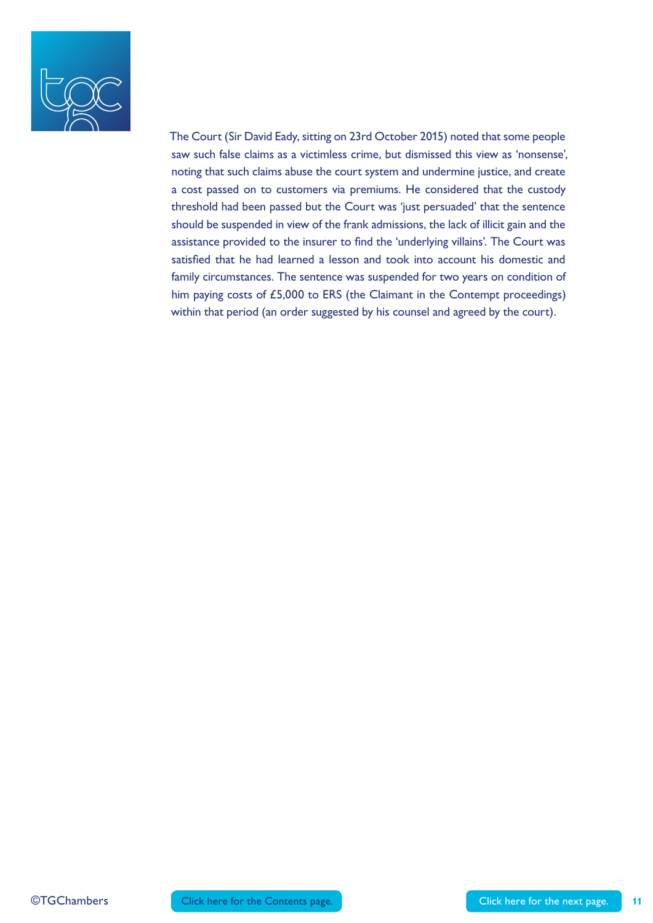

The Court (Sir David Eady, sitting on 23rd October 2015) noted that some people saw such false claims as a victimless crime, but dismissed this view as 'nonsense', noting that such claims abuse the court system and undermine justice, and create a cost passed on to customers via premiums. He considered that the custody threshold had been passed but the Court was 'just persuaded' that the sentence should be suspended in view of the frank admissions, the lack of illicit gain and the assistance provided to the insurer to find the 'underlying villains'. The Court was satisfied that he had learned a lesson and took into account his domestic and family circumstances. The sentence was suspended for two years on condition of him paying costs of £5,000 to ERS (the Claimant in the Contempt proceedings) within that period (an order suggested by his counsel and agreed by the court).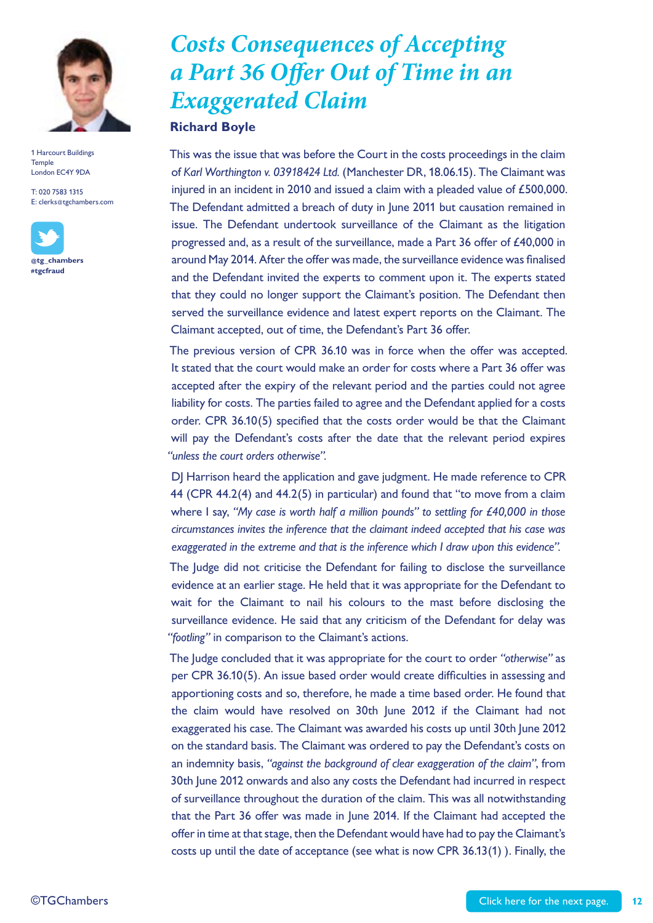

T: 020 7583 1315 E: clerks@tgchambers.com



## *Costs Consequences of Accepting a Part 36 Offer Out of Time in an Exaggerated Claim*

#### **Richard Boyle**

This was the issue that was before the Court in the costs proceedings in the claim of *Karl Worthington v. 03918424 Ltd.* (Manchester DR, 18.06.15). The Claimant was injured in an incident in 2010 and issued a claim with a pleaded value of £500,000. The Defendant admitted a breach of duty in June 2011 but causation remained in issue. The Defendant undertook surveillance of the Claimant as the litigation progressed and, as a result of the surveillance, made a Part 36 offer of £40,000 in around May 2014. After the offer was made, the surveillance evidence was finalised and the Defendant invited the experts to comment upon it. The experts stated that they could no longer support the Claimant's position. The Defendant then served the surveillance evidence and latest expert reports on the Claimant. The Claimant accepted, out of time, the Defendant's Part 36 offer.

The previous version of CPR 36.10 was in force when the offer was accepted. It stated that the court would make an order for costs where a Part 36 offer was accepted after the expiry of the relevant period and the parties could not agree liability for costs. The parties failed to agree and the Defendant applied for a costs order. CPR 36.10(5) specified that the costs order would be that the Claimant will pay the Defendant's costs after the date that the relevant period expires *"unless the court orders otherwise".*

DJ Harrison heard the application and gave judgment. He made reference to CPR 44 (CPR 44.2(4) and 44.2(5) in particular) and found that "to move from a claim where I say, *"My case is worth half a million pounds" to settling for £40,000 in those circumstances invites the inference that the claimant indeed accepted that his case was exaggerated in the extreme and that is the inference which I draw upon this evidence".*

The Judge did not criticise the Defendant for failing to disclose the surveillance evidence at an earlier stage. He held that it was appropriate for the Defendant to wait for the Claimant to nail his colours to the mast before disclosing the surveillance evidence. He said that any criticism of the Defendant for delay was *"footling"* in comparison to the Claimant's actions.

The Judge concluded that it was appropriate for the court to order *"otherwise"* as per CPR 36.10(5). An issue based order would create difficulties in assessing and apportioning costs and so, therefore, he made a time based order. He found that the claim would have resolved on 30th June 2012 if the Claimant had not exaggerated his case. The Claimant was awarded his costs up until 30th June 2012 on the standard basis. The Claimant was ordered to pay the Defendant's costs on an indemnity basis, *"against the background of clear exaggeration of the claim"*, from 30th June 2012 onwards and also any costs the Defendant had incurred in respect of surveillance throughout the duration of the claim. This was all notwithstanding that the Part 36 offer was made in June 2014. If the Claimant had accepted the offer in time at that stage, then the Defendant would have had to pay the Claimant's costs up until the date of acceptance (see what is now CPR 36.13(1) ). Finally, the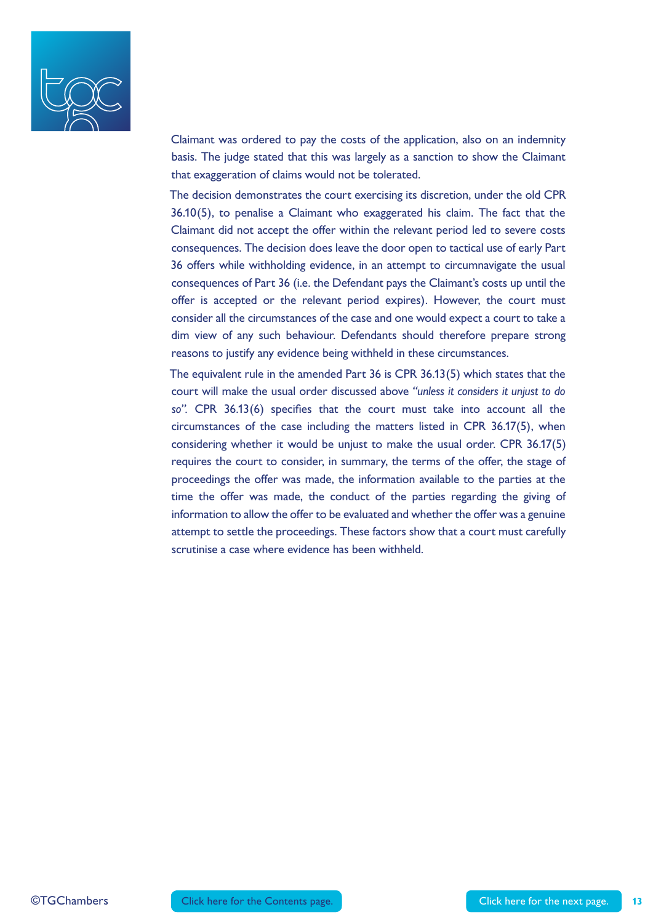

Claimant was ordered to pay the costs of the application, also on an indemnity basis. The judge stated that this was largely as a sanction to show the Claimant that exaggeration of claims would not be tolerated.

The decision demonstrates the court exercising its discretion, under the old CPR 36.10(5), to penalise a Claimant who exaggerated his claim. The fact that the Claimant did not accept the offer within the relevant period led to severe costs consequences. The decision does leave the door open to tactical use of early Part 36 offers while withholding evidence, in an attempt to circumnavigate the usual consequences of Part 36 (i.e. the Defendant pays the Claimant's costs up until the offer is accepted or the relevant period expires). However, the court must consider all the circumstances of the case and one would expect a court to take a dim view of any such behaviour. Defendants should therefore prepare strong reasons to justify any evidence being withheld in these circumstances.

The equivalent rule in the amended Part 36 is CPR 36.13(5) which states that the court will make the usual order discussed above *"unless it considers it unjust to do so".* CPR 36.13(6) specifies that the court must take into account all the circumstances of the case including the matters listed in CPR 36.17(5), when considering whether it would be unjust to make the usual order. CPR 36.17(5) requires the court to consider, in summary, the terms of the offer, the stage of proceedings the offer was made, the information available to the parties at the time the offer was made, the conduct of the parties regarding the giving of information to allow the offer to be evaluated and whether the offer was a genuine attempt to settle the proceedings. These factors show that a court must carefully scrutinise a case where evidence has been withheld.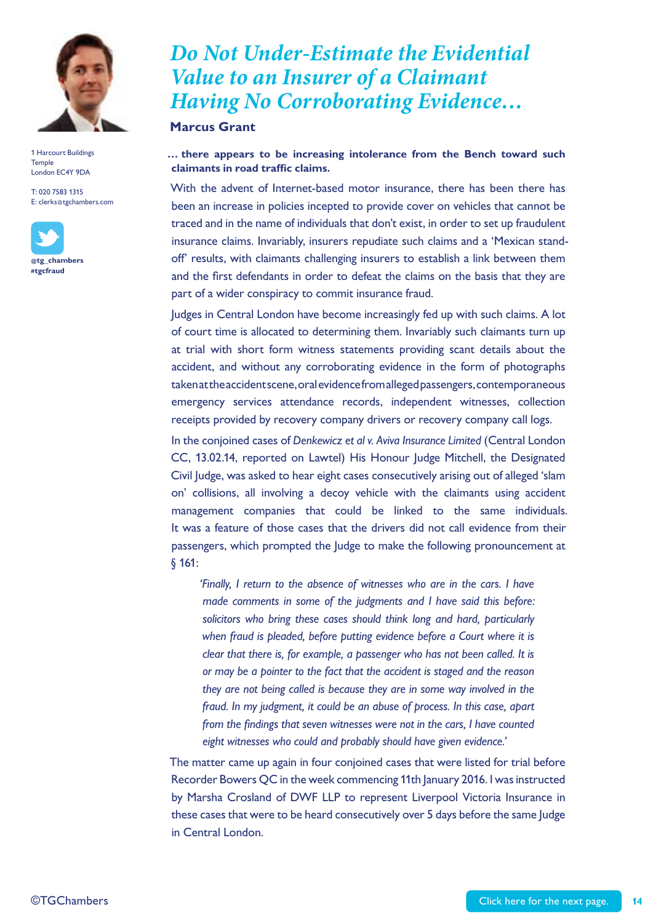

T: 020 7583 1315 E: clerks@tgchambers.com



### *Do Not Under-Estimate the Evidential Value to an Insurer of a Claimant Having No Corroborating Evidence…*

#### **Marcus Grant**

#### **… there appears to be increasing intolerance from the Bench toward such claimants in road traffic claims.**

With the advent of Internet-based motor insurance, there has been there has been an increase in policies incepted to provide cover on vehicles that cannot be traced and in the name of individuals that don't exist, in order to set up fraudulent insurance claims. Invariably, insurers repudiate such claims and a 'Mexican standoff' results, with claimants challenging insurers to establish a link between them and the first defendants in order to defeat the claims on the basis that they are part of a wider conspiracy to commit insurance fraud.

Judges in Central London have become increasingly fed up with such claims. A lot of court time is allocated to determining them. Invariably such claimants turn up at trial with short form witness statements providing scant details about the accident, and without any corroborating evidence in the form of photographs taken at the accident scene, oral evidence from alleged passengers, contemporaneous emergency services attendance records, independent witnesses, collection receipts provided by recovery company drivers or recovery company call logs.

In the conjoined cases of *Denkewicz et al v. Aviva Insurance Limited* (Central London CC, 13.02.14, reported on Lawtel) His Honour Judge Mitchell, the Designated Civil Judge, was asked to hear eight cases consecutively arising out of alleged 'slam on' collisions, all involving a decoy vehicle with the claimants using accident management companies that could be linked to the same individuals. It was a feature of those cases that the drivers did not call evidence from their passengers, which prompted the Judge to make the following pronouncement at § 161:

*'Finally, I return to the absence of witnesses who are in the cars. I have made comments in some of the judgments and I have said this before: solicitors who bring these cases should think long and hard, particularly when fraud is pleaded, before putting evidence before a Court where it is clear that there is, for example, a passenger who has not been called. It is or may be a pointer to the fact that the accident is staged and the reason they are not being called is because they are in some way involved in the fraud. In my judgment, it could be an abuse of process. In this case, apart from the findings that seven witnesses were not in the cars, I have counted eight witnesses who could and probably should have given evidence.'*

The matter came up again in four conjoined cases that were listed for trial before Recorder Bowers QC in the week commencing 11th January 2016. I was instructed by Marsha Crosland of DWF LLP to represent Liverpool Victoria Insurance in these cases that were to be heard consecutively over 5 days before the same Judge in Central London.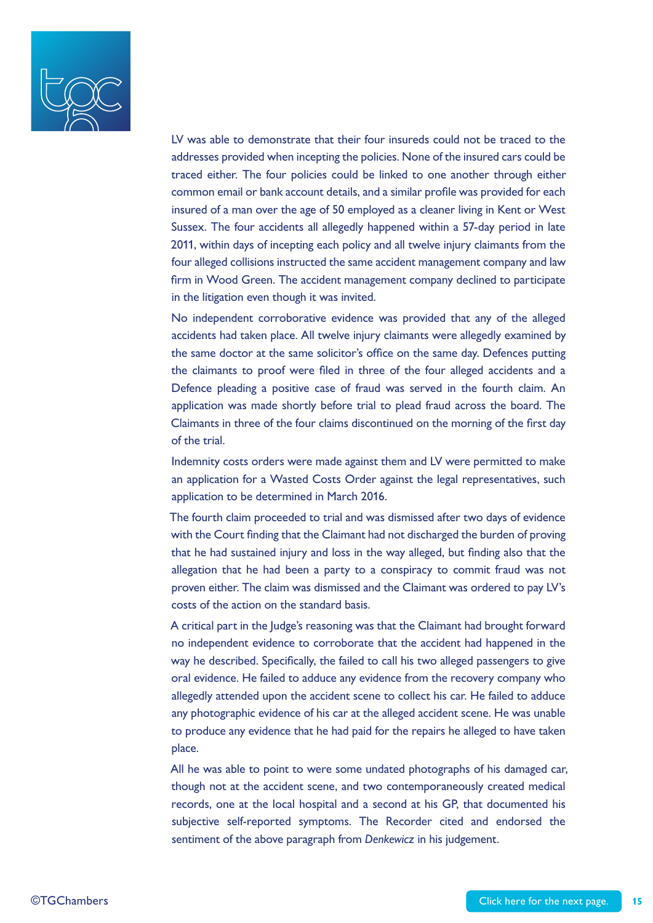

LV was able to demonstrate that their four insureds could not be traced to the addresses provided when incepting the policies. None of the insured cars could be traced either. The four policies could be linked to one another through either common email or bank account details, and a similar profile was provided for each insured of a man over the age of 50 employed as a cleaner living in Kent or West Sussex. The four accidents all allegedly happened within a 57-day period in late 2011, within days of incepting each policy and all twelve injury claimants from the four alleged collisions instructed the same accident management company and law firm in Wood Green. The accident management company declined to participate in the litigation even though it was invited.

No independent corroborative evidence was provided that any of the alleged accidents had taken place. All twelve injury claimants were allegedly examined by the same doctor at the same solicitor's office on the same day. Defences putting the claimants to proof were filed in three of the four alleged accidents and a Defence pleading a positive case of fraud was served in the fourth claim. An application was made shortly before trial to plead fraud across the board. The Claimants in three of the four claims discontinued on the morning of the first day of the trial.

Indemnity costs orders were made against them and LV were permitted to make an application for a Wasted Costs Order against the legal representatives, such application to be determined in March 2016.

The fourth claim proceeded to trial and was dismissed after two days of evidence with the Court finding that the Claimant had not discharged the burden of proving that he had sustained injury and loss in the way alleged, but finding also that the allegation that he had been a party to a conspiracy to commit fraud was not proven either. The claim was dismissed and the Claimant was ordered to pay LV's costs of the action on the standard basis.

A critical part in the Judge's reasoning was that the Claimant had brought forward no independent evidence to corroborate that the accident had happened in the way he described. Specifically, the failed to call his two alleged passengers to give oral evidence. He failed to adduce any evidence from the recovery company who allegedly attended upon the accident scene to collect his car. He failed to adduce any photographic evidence of his car at the alleged accident scene. He was unable to produce any evidence that he had paid for the repairs he alleged to have taken place.

All he was able to point to were some undated photographs of his damaged car, though not at the accident scene, and two contemporaneously created medical records, one at the local hospital and a second at his GP, that documented his subjective self-reported symptoms. The Recorder cited and endorsed the sentiment of the above paragraph from *Denkewicz* in his judgement.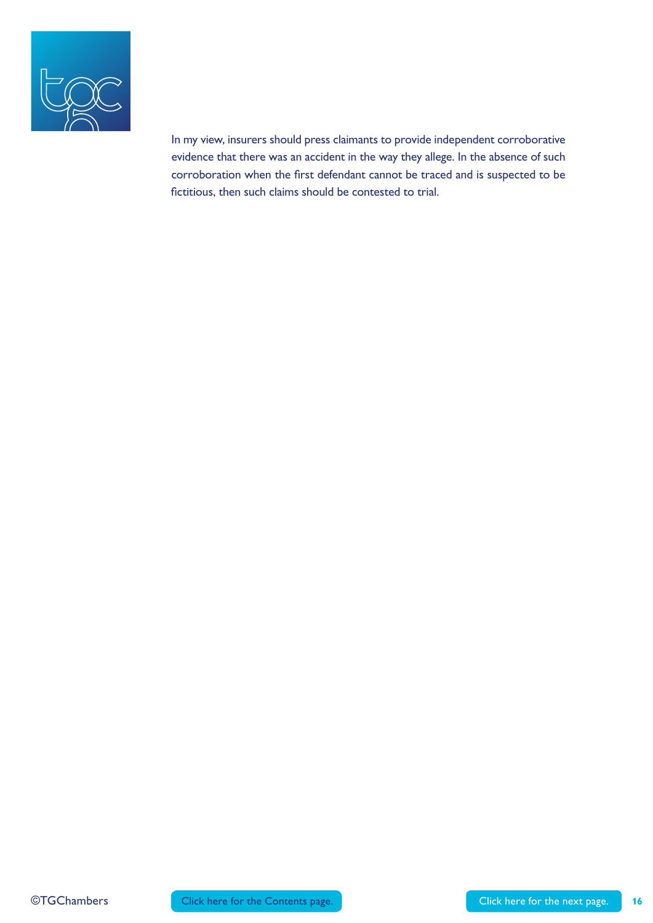

In my view, insurers should press claimants to provide independent corroborative evidence that there was an accident in the way they allege. In the absence of such corroboration when the first defendant cannot be traced and is suspected to be fictitious, then such claims should be contested to trial.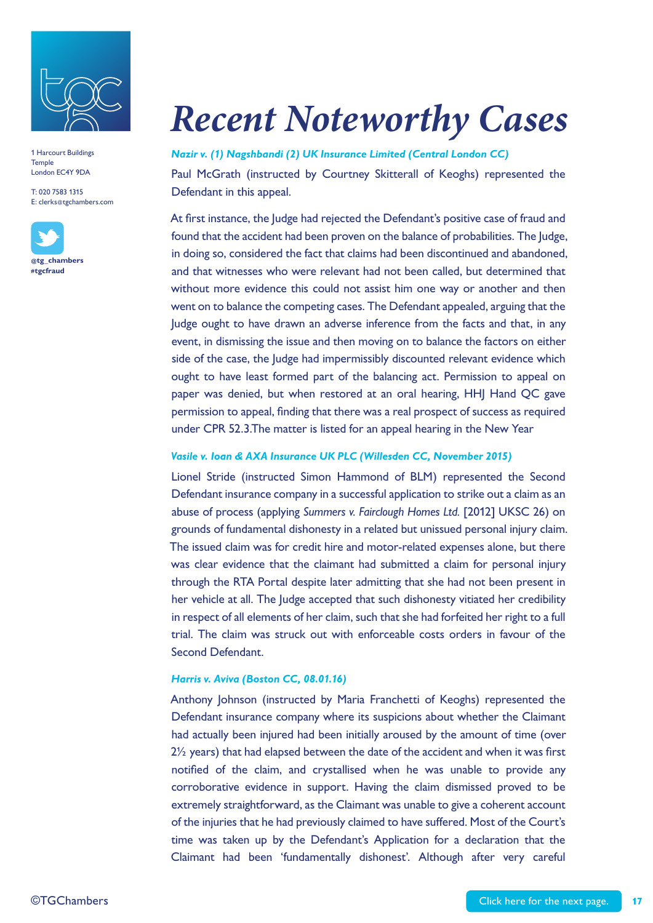

T: 020 7583 1315 E: clerks@tgchambers.com



# *Recent Noteworthy Cases*

#### *Nazir v. (1) Nagshbandi (2) UK Insurance Limited (Central London CC)*

Paul McGrath (instructed by Courtney Skitterall of Keoghs) represented the Defendant in this appeal.

At first instance, the Judge had rejected the Defendant's positive case of fraud and found that the accident had been proven on the balance of probabilities. The Judge, in doing so, considered the fact that claims had been discontinued and abandoned, and that witnesses who were relevant had not been called, but determined that without more evidence this could not assist him one way or another and then went on to balance the competing cases. The Defendant appealed, arguing that the Judge ought to have drawn an adverse inference from the facts and that, in any event, in dismissing the issue and then moving on to balance the factors on either side of the case, the Judge had impermissibly discounted relevant evidence which ought to have least formed part of the balancing act. Permission to appeal on paper was denied, but when restored at an oral hearing, HHJ Hand QC gave permission to appeal, finding that there was a real prospect of success as required under CPR 52.3.The matter is listed for an appeal hearing in the New Year

#### *Vasile v. Ioan & AXA Insurance UK PLC (Willesden CC, November 2015)*

Lionel Stride (instructed Simon Hammond of BLM) represented the Second Defendant insurance company in a successful application to strike out a claim as an abuse of process (applying *Summers v. Fairclough Homes Ltd.* [2012] UKSC 26) on grounds of fundamental dishonesty in a related but unissued personal injury claim. The issued claim was for credit hire and motor-related expenses alone, but there was clear evidence that the claimant had submitted a claim for personal injury through the RTA Portal despite later admitting that she had not been present in her vehicle at all. The Judge accepted that such dishonesty vitiated her credibility in respect of all elements of her claim, such that she had forfeited her right to a full trial. The claim was struck out with enforceable costs orders in favour of the Second Defendant.

#### *Harris v. Aviva (Boston CC, 08.01.16)*

Anthony Johnson (instructed by Maria Franchetti of Keoghs) represented the Defendant insurance company where its suspicions about whether the Claimant had actually been injured had been initially aroused by the amount of time (over 2½ years) that had elapsed between the date of the accident and when it was first notified of the claim, and crystallised when he was unable to provide any corroborative evidence in support. Having the claim dismissed proved to be extremely straightforward, as the Claimant was unable to give a coherent account of the injuries that he had previously claimed to have suffered. Most of the Court's time was taken up by the Defendant's Application for a declaration that the Claimant had been 'fundamentally dishonest'. Although after very careful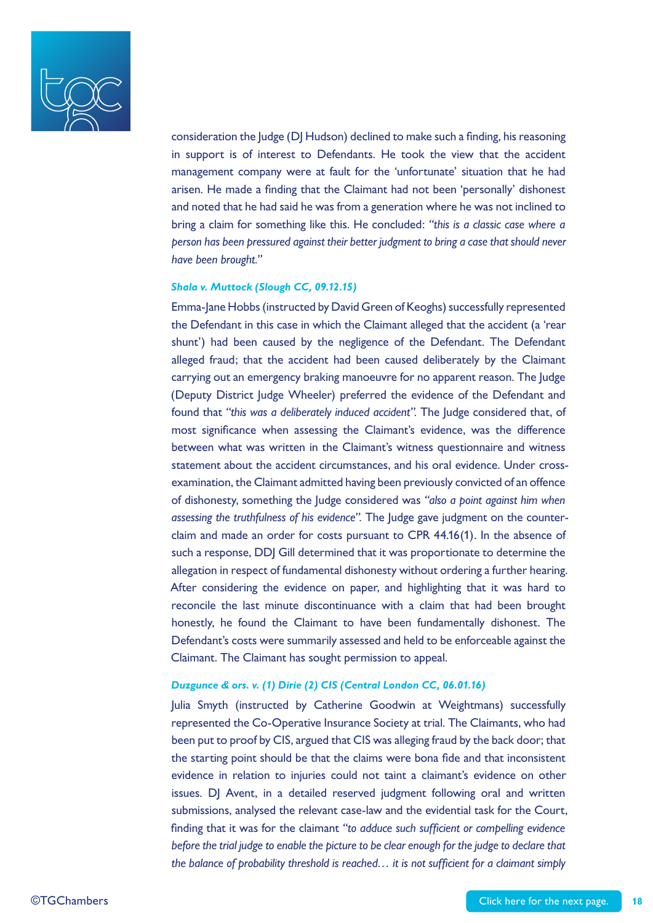

consideration the Judge (DJ Hudson) declined to make such a finding, his reasoning in support is of interest to Defendants. He took the view that the accident management company were at fault for the 'unfortunate' situation that he had arisen. He made a finding that the Claimant had not been 'personally' dishonest and noted that he had said he was from a generation where he was not inclined to bring a claim for something like this. He concluded: *"this is a classic case where a person has been pressured against their better judgment to bring a case that should never have been brought."*

#### *Shala v. Muttock (Slough CC, 09.12.15)*

Emma-Jane Hobbs (instructed by David Green of Keoghs) successfully represented the Defendant in this case in which the Claimant alleged that the accident (a 'rear shunt') had been caused by the negligence of the Defendant. The Defendant alleged fraud; that the accident had been caused deliberately by the Claimant carrying out an emergency braking manoeuvre for no apparent reason. The Judge (Deputy District Judge Wheeler) preferred the evidence of the Defendant and found that *"this was a deliberately induced accident".* The Judge considered that, of most significance when assessing the Claimant's evidence, was the difference between what was written in the Claimant's witness questionnaire and witness statement about the accident circumstances, and his oral evidence. Under crossexamination, the Claimant admitted having been previously convicted of an offence of dishonesty, something the Judge considered was *"also a point against him when assessing the truthfulness of his evidence".* The Judge gave judgment on the counterclaim and made an order for costs pursuant to CPR 44.16(1). In the absence of such a response, DDJ Gill determined that it was proportionate to determine the allegation in respect of fundamental dishonesty without ordering a further hearing. After considering the evidence on paper, and highlighting that it was hard to reconcile the last minute discontinuance with a claim that had been brought honestly, he found the Claimant to have been fundamentally dishonest. The Defendant's costs were summarily assessed and held to be enforceable against the Claimant. The Claimant has sought permission to appeal.

#### *Duzgunce & ors. v. (1) Dirie (2) CIS (Central London CC, 06.01.16)*

Julia Smyth (instructed by Catherine Goodwin at Weightmans) successfully represented the Co-Operative Insurance Society at trial. The Claimants, who had been put to proof by CIS, argued that CIS was alleging fraud by the back door; that the starting point should be that the claims were bona fide and that inconsistent evidence in relation to injuries could not taint a claimant's evidence on other issues. DJ Avent, in a detailed reserved judgment following oral and written submissions, analysed the relevant case-law and the evidential task for the Court, finding that it was for the claimant *"to adduce such sufficient or compelling evidence before the trial judge to enable the picture to be clear enough for the judge to declare that the balance of probability threshold is reached… it is not sufficient for a claimant simply*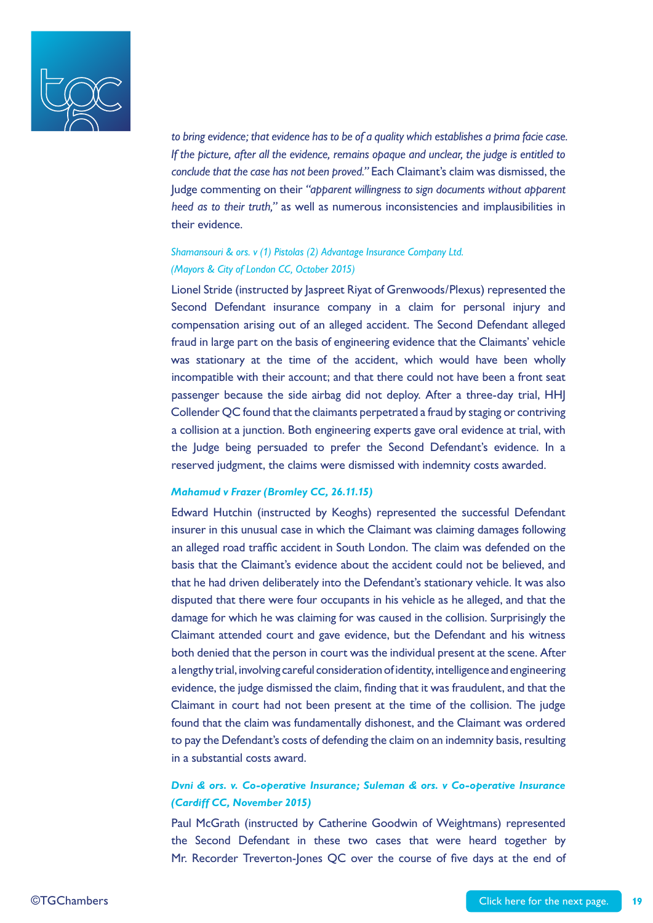

*to bring evidence; that evidence has to be of a quality which establishes a prima facie case. If the picture, after all the evidence, remains opaque and unclear, the judge is entitled to conclude that the case has not been proved."* Each Claimant's claim was dismissed, the Judge commenting on their *"apparent willingness to sign documents without apparent heed as to their truth,"* as well as numerous inconsistencies and implausibilities in their evidence.

#### *Shamansouri & ors. v (1) Pistolas (2) Advantage Insurance Company Ltd. (Mayors & City of London CC, October 2015)*

Lionel Stride (instructed by Jaspreet Riyat of Grenwoods/Plexus) represented the Second Defendant insurance company in a claim for personal injury and compensation arising out of an alleged accident. The Second Defendant alleged fraud in large part on the basis of engineering evidence that the Claimants' vehicle was stationary at the time of the accident, which would have been wholly incompatible with their account; and that there could not have been a front seat passenger because the side airbag did not deploy. After a three-day trial, HHJ Collender QC found that the claimants perpetrated a fraud by staging or contriving a collision at a junction. Both engineering experts gave oral evidence at trial, with the Judge being persuaded to prefer the Second Defendant's evidence. In a reserved judgment, the claims were dismissed with indemnity costs awarded.

#### *Mahamud v Frazer (Bromley CC, 26.11.15)*

Edward Hutchin (instructed by Keoghs) represented the successful Defendant insurer in this unusual case in which the Claimant was claiming damages following an alleged road traffic accident in South London. The claim was defended on the basis that the Claimant's evidence about the accident could not be believed, and that he had driven deliberately into the Defendant's stationary vehicle. It was also disputed that there were four occupants in his vehicle as he alleged, and that the damage for which he was claiming for was caused in the collision. Surprisingly the Claimant attended court and gave evidence, but the Defendant and his witness both denied that the person in court was the individual present at the scene. After a lengthy trial, involving careful consideration of identity, intelligence and engineering evidence, the judge dismissed the claim, finding that it was fraudulent, and that the Claimant in court had not been present at the time of the collision. The judge found that the claim was fundamentally dishonest, and the Claimant was ordered to pay the Defendant's costs of defending the claim on an indemnity basis, resulting in a substantial costs award.

#### *Dvni & ors. v. Co-operative Insurance; Suleman & ors. v Co-operative Insurance (Cardiff CC, November 2015)*

Paul McGrath (instructed by Catherine Goodwin of Weightmans) represented the Second Defendant in these two cases that were heard together by Mr. Recorder Treverton-Jones QC over the course of five days at the end of